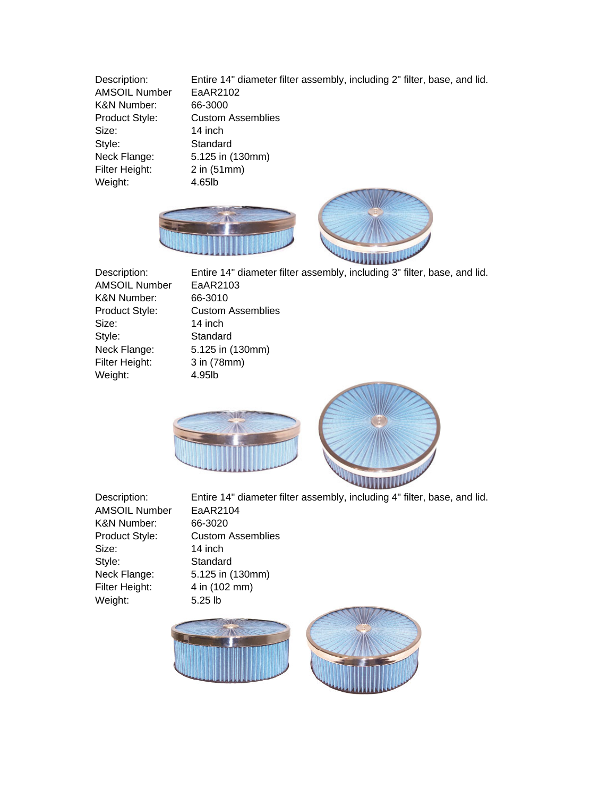Description: Entire 14" diameter filter assembly, including 2" filter, base, and lid. AMSOIL Number EaAR2102 K&N Number: 66-3000 Product Style: Custom Assemblies Size: 14 inch Style: Standard Neck Flange: 5.125 in (130mm) Filter Height: 2 in (51mm) Weight: 4.65lb





AMSOIL Number EaAR2103 K&N Number: 66-3010 Size: 14 inch Style: Standard Filter Height: 3 in (78mm) Weight: 4.95lb

Description: Entire 14" diameter filter assembly, including 3" filter, base, and lid. Product Style: Custom Assemblies Neck Flange: 5.125 in (130mm)



AMSOIL Number EaAR2104 K&N Number: 66-3020 Size: 14 inch Style: Standard Filter Height: 4 in (102 mm) Weight: 5.25 lb

Description: Entire 14" diameter filter assembly, including 4" filter, base, and lid. Product Style: Custom Assemblies Neck Flange: 5.125 in (130mm)

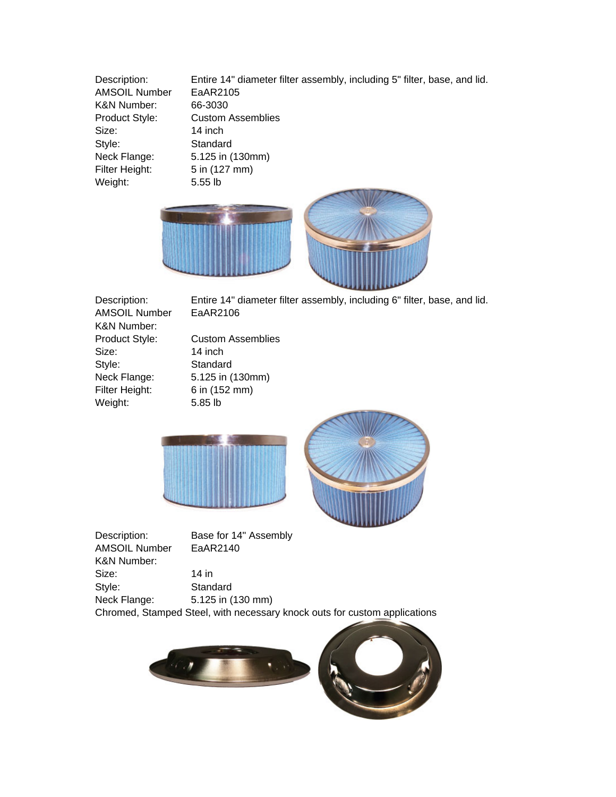Description: Entire 14" diameter filter assembly, including 5" filter, base, and lid. AMSOIL Number EaAR2105 K&N Number: 66-3030 Product Style: Custom Assemblies Size: 14 inch Style: Standard Neck Flange: 5.125 in (130mm) Filter Height: 5 in (127 mm) Weight: 5.55 lb



AMSOIL Number EaAR2106 K&N Number: Size: 14 inch Style: Standard Filter Height: 6 in (152 mm) Weight: 5.85 lb

Description: Entire 14" diameter filter assembly, including 6" filter, base, and lid.

Product Style: Custom Assemblies Neck Flange: 5.125 in (130mm)





Description: Base for 14" Assembly AMSOIL Number EaAR2140 K&N Number: Size: 14 in Style: Standard Neck Flange: 5.125 in (130 mm)



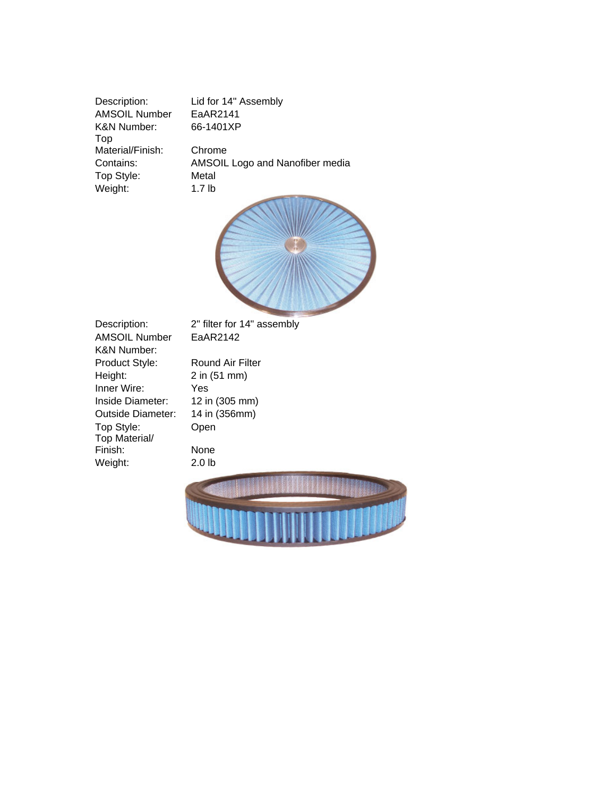Description: Lid for 14" Assembly AMSOIL Number EaAR2141 K&N Number: 66-1401XP Top Material/Finish: Chrome Top Style: Metal Weight: 1.7 lb

Contains: AMSOIL Logo and Nanofiber media



AMSOIL Number EaAR2142 K&N Number: Product Style: Round Air Filter Height: 2 in (51 mm) Inner Wire: Yes Inside Diameter: 12 in (305 mm) Outside Diameter: 14 in (356mm) Top Style: Open Top Material/ Finish: None Weight: 2.0 lb

Description: 2" filter for 14" assembly

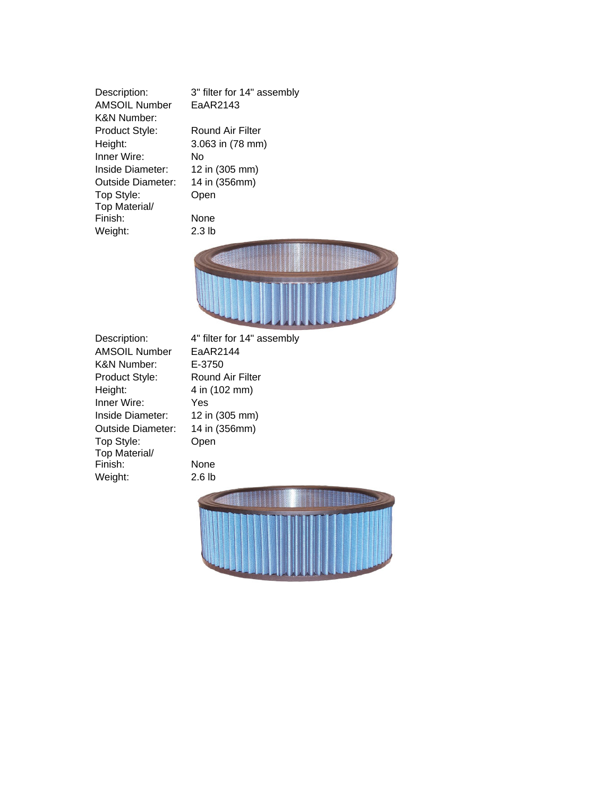Description: 3" filter for 14" assembly AMSOIL Number EaAR2143 K&N Number: Product Style: Round Air Filter Height: 3.063 in (78 mm) Inner Wire: No Inside Diameter: 12 in (305 mm) Outside Diameter: 14 in (356mm) Top Style: Open Top Material/ Finish: None Weight: 2.3 lb



AMSOIL Number EaAR2144 K&N Number: E-3750 Product Style: Round Air Filter Height: 4 in (102 mm) Inner Wire: Yes Inside Diameter: 12 in (305 mm) Outside Diameter: 14 in (356mm) Top Style: Open Top Material/ Finish: None Weight: 2.6 lb

Description: 4" filter for 14" assembly